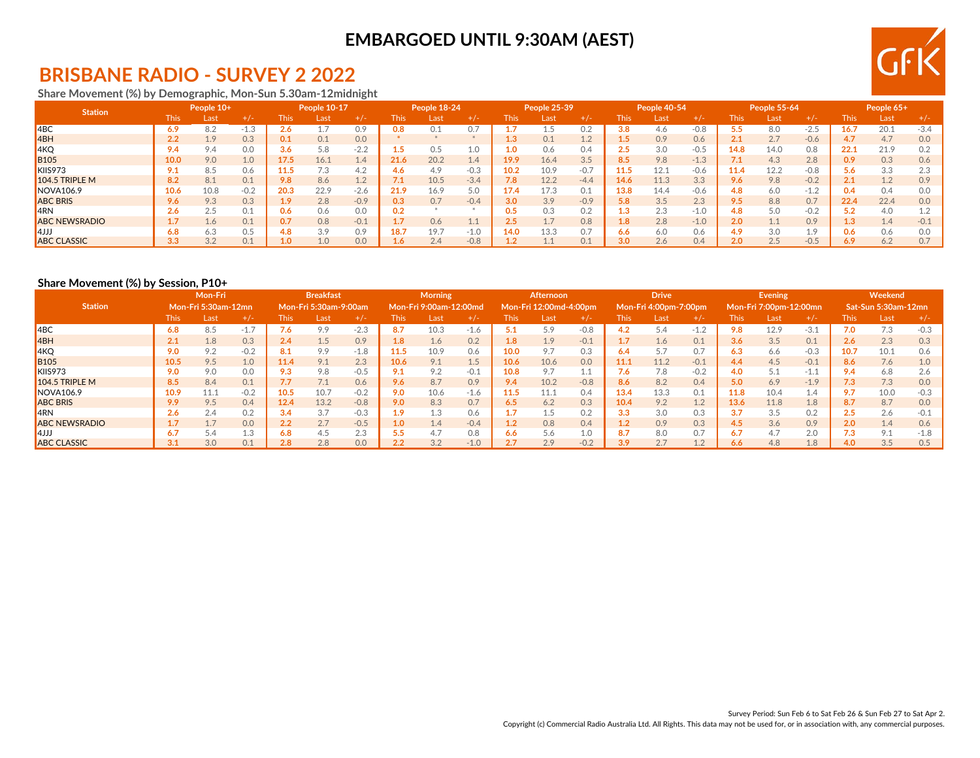

## **BRISBANE RADIO - SURVEY 2 2022**

#### **Share Movement (%) by Demographic, Mon-Sun 5.30am-12midnight**

| <b>Station</b>        |      | People 10+ |        |             | People 10-17 |                         |      | People 18-24 |        |             | People 25-39 |        |             | People 40-54 |        |      | <b>People 55-64</b> |         |       | People 65+ |        |
|-----------------------|------|------------|--------|-------------|--------------|-------------------------|------|--------------|--------|-------------|--------------|--------|-------------|--------------|--------|------|---------------------|---------|-------|------------|--------|
|                       | This | Last       | $+/-$  | <b>This</b> | Last         | -- 72                   | This | Last         | +/-    | <b>This</b> | Last         | +/-    | <b>This</b> | Last         |        | This |                     | $+$ / - | l his | Last,      |        |
| $ $ 4BC               | 6.9  | 8.2        | ن.1-   | z.o         |              | 0.9                     | 9.8  |              | 0.7    |             |              |        | 3.8         | 4.6          | $-0.8$ |      | 8.0                 | $-2.5$  | 16.   | 20.1       | $-3.4$ |
| 4BH                   | 2.2  | 1.9        | 0.3    | 0.1         | 0.1          | 0.0                     |      |              |        | 1.3         | 0.1          | 1.2    | 1.5         | 0.9          | 0.6    | 2.1  | 2.7                 | $-0.6$  | 4.7   | 4.7        | 0.0    |
| 4KQ                   | 9.4  | 9.4        | 0.0    | 3.6         | 5.8          | $-2.2$                  |      | 75           | 1.0    |             | 0.6          | 0.4    | 2.5         | 3.0          | $-0.5$ | 14.8 | 14.0                | 0.8     | 22.1  | 21.9       |        |
| <b>B</b> 105          | 10.0 | 9.0        | 1.0    | 17.5        | 16.1         | 1.4                     | 21.6 | 20.2         | 1.4    | 19.9        | 16.4         | 3.5    | 8.5         | 9.8          | $-1.3$ |      | 4.3                 | 2.8     | 0.9   | 0.3        | 0.6    |
| KIIS973               | 9.1  | 8.5        | 0.6    | 11.5        | 7.3          | 4.2                     | 4.6  | 4.9          | $-0.3$ | 10.2        | 10.9         | $-0.7$ | 11.5        | 12.1         | $-0.6$ | 11.4 | 12.2                | $-0.8$  | 5.6   | 3.3        |        |
| <b>104.5 TRIPLE M</b> | 8.2  | 8.1        | 0.1    | 9.8         | 8.6          | 12<br>$\perp$ . $\perp$ | 7.1  | 10.5         | $-3.4$ | 7.8         | 12.2         | $-4.4$ | 14.6        | 11.3         | 3.3    | 9.6  | 9.8                 | $-0.2$  |       | 1.2        | 0.9    |
| <b>NOVA106.9</b>      | 10.6 | 10.8       | $-0.2$ | 20.3        | 22.9         | $-2.6$                  | 21.9 | 16.9         | 5.0    | 17.4        | 17.3         | 0.1    | 13.8        | 14.4         | $-0.6$ | 4.8  | 6.0                 | $-1.2$  | J.4   | 0.4        |        |
| <b>ABC BRIS</b>       | 9.6  | 9.3        | 0.3    | 1.9         | 2.8          | $-0.9$                  | 0.3  | 0.7          | $-0.4$ | 3.0         | 3.9          | $-0.9$ | 5.8         | 3.5          | 2.3    | 9.5  | 8.8                 | 0.7     | 22.4  | 22.4       | 0.0    |
| <b>4RN</b>            | 2.6  | 2.5        | 0.1    | 0.6         | 0.6          | 0.0                     | 0.2  |              |        | 0.5         | 0.3          | 0.2    | 1.3         | 2.3          | $-1.0$ | 4.8  | 5.0                 | $-0.2$  | 5.2   | 4.0        |        |
| <b>ABC NEWSRADIO</b>  |      | 1.6        | 0.1    | 0.7         | 0.8          | $-0.1$                  |      | 0.6          | 1.1    | $2.5\,$     | 1.7          | 0.8    | 1.8         | 2.8          | $-1.0$ | 2.0  |                     | 0.9     | 1.3   | 1.4        | $-0.1$ |
| $\blacksquare$ 4JJJ   | 6.8  | 6.3        | 0.5    | 4.8         | 3.9          | 0.9                     | 18.7 | 19.7         | $-1.0$ | 14.0        | 13.3         | 0.7    | 6.6         | 6.0          | 0.6    | 4.9  | 3.0                 | 1.9     |       | 0.6        | nΓ     |
| <b>ABC CLASSIC</b>    | 3.3  | 3.2        | 0.1    |             | 1.0          | 0.0                     | 1.6. | 2.4          | $-0.8$ |             |              |        | 3.0         | 2.6          | 0.4    | 2.0  | 2.5                 | $-0.5$  | 6.9   | 6.2        |        |

#### **Share Movement (%) by Session, P10+**

|                      |             | Mon-Fri<br>Mon-Fri 5:30am-12mn |        |             | <b>Breakfast</b>      |        |                  | <b>Morning</b>         |        |                  | Afternoon              |           |             | <b>Drive</b>          |              |      | <b>Evening</b>         |          |      | Weekend             |        |
|----------------------|-------------|--------------------------------|--------|-------------|-----------------------|--------|------------------|------------------------|--------|------------------|------------------------|-----------|-------------|-----------------------|--------------|------|------------------------|----------|------|---------------------|--------|
| <b>Station</b>       |             |                                |        |             | Mon-Fri 5:30am-9:00am |        |                  | Mon-Fri 9:00am-12:00md |        |                  | Mon-Fri 12:00md-4:00pm |           |             | Mon-Fri 4:00pm-7:00pm |              |      | Mon-Fri 7:00pm-12:00mn |          |      | Sat-Sun 5:30am-12mn |        |
|                      | <b>This</b> | Last                           | $+/-$  | <b>This</b> | Last                  | $+/-$  | This.            | Last                   | $+/-$  | <b>This</b>      | Last                   | +7-       | <b>This</b> | Last                  |              | This | Last                   | $+/-$    | 'his | Last                |        |
| ABC                  | 6.8         | 8.5                            | $-1.7$ | 7.6         | 9.9                   | $-2.3$ | 8.7              | 10.3                   | $-1.6$ |                  | 5.9                    | $-0.8$    | 4.2         | 5.4                   | $-1$ $\circ$ | 9.8  | 12.9                   | $-3.1$   | 7.0  | 7.3                 | $-0.3$ |
| 4BH                  | 2.1         | 1.8                            | 0.3    | 2.4         | 1.5                   | 0.9    | 1.8 <sup>°</sup> | 1.6                    | 0.2    | 1.8 <sup>°</sup> | 1.9                    | $-0.1$    | 1.7         | 1.6                   | 0.1          | 3.6  | 3.5                    | 0.1      | 2.6  | 2.3                 |        |
| 4KQ                  | 9.0         | 9.2                            | $-0.2$ | 8.1         | 9.9                   | $-1.8$ | 11.5             | 10.9                   | 0.6    | 10.0             | 9.7                    | 0.3       | 6.4         | 5.7                   | 0.7          | 6.3  | 6.6                    | $-0.3$   | 10.7 | 10.1                | 0.6    |
| <b>B105</b>          | 10.5        | 9.5                            | 1.0    | 11.4        | 9.1                   | 2.3    | 10.6             | 9.1                    | 1.5    | 10.6             | 10.6                   | 0.0       | 11.1        | 11.2                  | $-0.1$       | 4.4  | 4.5                    | $-0.1$   | 8.6  | 7.6                 |        |
| KIIS973              | 9.0         | 9.0                            | 0.0    | 9.3         | 9.8                   | $-0.5$ |                  | 9.2                    | $-0.1$ | 10.8             | 9.7                    | 11<br>⊥.⊥ | 7.6         | 7.8                   | $-0.2$       | 4.0  |                        | $-1.1$   |      | 6.8                 |        |
| $104.5$ TRIPLE M     | 8.5         | 8.4                            | 0.1    | 7.7         | 7.1                   | 0.6    | 9.6              | 8.7                    | 0.9    | 9.4              | 10.2                   | $-0.8$    | 8.6         | 8.2                   | 0.4          | 5.0  | 6.9                    | $-1.9$   | 7.3  | 7.3                 | 0.0    |
| NOVA106.9            | 10.9        | 11.1                           | $-0.2$ | 10.5        | 10.7                  | $-0.2$ | 9.0              | 10.6                   | $-1.6$ | 11.5             | 11.1                   | 0.4       | 13.4        | 13.3                  | 0.1          | 11.8 | 10.4                   | $\pm .4$ |      | 10.0                | $-0.3$ |
| <b>ABC BRIS</b>      | 9.9         | 9.5                            | 0.4    | 12.4        | 13.2                  | $-0.8$ | 9.0              | 8.3                    | 0.7    | 6.5              | 6.2                    | 0.3       | 10.4        | 9.2                   | 1.2          | 13.6 | 11.8                   | 1.8      |      | 8.7                 | 0.0    |
| ARN                  | 2.6         | 2.4                            | 0.2    | 3.4         | 3.7                   | $-0.3$ | 1.9              |                        | 0.6    |                  | 1.5                    | 0.2       | 3.3         | 3.0                   | 0.3          | 3.7  | 3.5                    | 0.2      | د.2  | 2.6                 |        |
| <b>ABC NEWSRADIO</b> | 1.7         | 1.7                            | 0.0    | 2.2         | 2.7                   | $-0.5$ | 1.0              | 1.4                    | $-0.4$ | 1.2              | 0.8                    | 0.4       | 1.2         | 0.9                   | 0.3          | 4.5  | 3.6                    | 0.9      | 2.0  | 1.4                 | 0.6    |
| $ 4$ JJJ             | 6.7         | 5.4                            | 1.3    | 6.8         | 4.5                   | 2.3    | 5.5              |                        | 0.8    | 6.6              | 5.6                    | 1.0       | 8.7         | 8.0                   | 0.7          | 6.7  | 4.7                    | 2.0      | د. ا | 9.1                 | $-1.8$ |
| <b>ABC CLASSIC</b>   | 3.1         | 3.0                            | 0.1    | 2.8         | 2.8                   | 0.0    |                  | 3.2                    | $-1.0$ | $\Omega$         | 2.9                    | $-0.2$    | 3.9         | 2.7                   |              | 6.6  | 4.8                    | 1.8      | 4.0  | 3.5                 |        |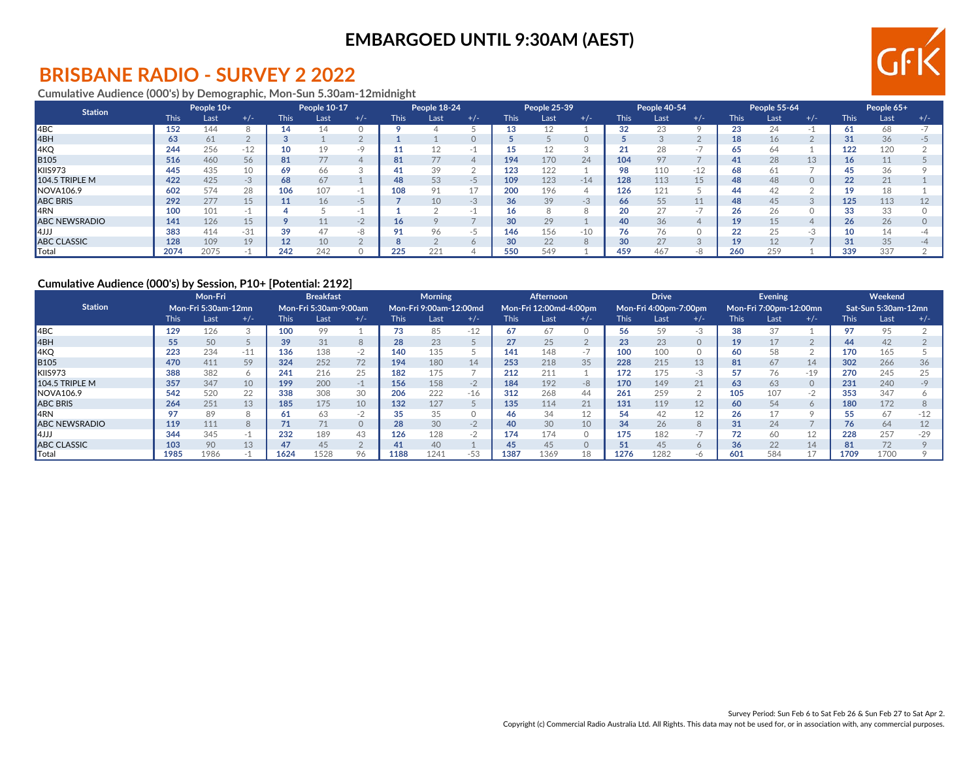# GFIK

## **BRISBANE RADIO - SURVEY 2 2022**

#### **Cumulative Audience (000's) by Demographic, Mon-Sun 5.30am-12midnight**

| <b>Station</b>        |      | People 10+ |       |             | People 10-17 |                |                | People 18-24 |         |             | People 25-39 |                  |             | People 40-54 |          |             | People 55-64 |              |             | People 65+ |       |
|-----------------------|------|------------|-------|-------------|--------------|----------------|----------------|--------------|---------|-------------|--------------|------------------|-------------|--------------|----------|-------------|--------------|--------------|-------------|------------|-------|
|                       | This | Last       | $+/-$ | <b>This</b> | Last         | $+/-$          | <b>This</b>    | Last         | $+/-$   | <b>This</b> | Last         | $+/-$            | <b>This</b> | Last         | $+/-$    | <b>This</b> | Last         | $+/-$        | <b>This</b> | Last       | $+/-$ |
| ABC                   | 152  | 144        |       | 14          | 14           |                |                |              |         |             | 12           |                  | 32          | 23           |          | 23.         |              |              |             | 68         |       |
| 4BH                   | 63   | 61         |       |             |              |                |                |              |         |             |              |                  |             |              |          | 18          | 16           |              |             | 36         |       |
| 4KQ                   | 244  | 256        | $-12$ | 10          | 19           |                |                |              |         |             | 12           |                  | 21          | 28           | $\sim$ . | 65          |              |              | 122         | 120        |       |
| <b>B</b> 105          | 516  | 460        | 56    | 81          |              |                | 81             |              |         | 194         | 170          | 24               | 104         | 97           |          | 41          | 28           | 13           |             |            |       |
| KIIS973               | 445  | 435        | 10    | 69          | 66           |                | 41.            |              |         | 123         | 122          |                  | 98          | 110          | $-12$    | 68          |              |              |             | 36         |       |
| <b>104.5 TRIPLE M</b> | 422  | 425        | -3    | 68          | 67           |                | 48             | 53           | -5      | 109         | 123          | $-14$            | 128         | 113          | 15       | 48          | 48           | $\Omega$     | 22          | 21         |       |
| NOVA106.9             | 602  | 574        | 28    | 106         | 107          |                | 108            |              | 17      | 200         | 196          |                  | 126         | 121          |          | 44          |              |              |             | 18         |       |
| <b>ABC BRIS</b>       | 292  | 277        | 15    | 11          | 16           | $-$            |                | 10           | $-3$    | 36          | 39           | $\sqrt{2}$<br>-3 | 66          | 55           |          | 48          | 45           | $\bigcap$    | 125         | 113        |       |
| <b>IARN</b>           | 100  | 101        |       |             |              |                |                |              |         |             | 8            |                  | 20          | 27           | $\sim$ . | 26          | 26           |              |             | 33         |       |
| <b>ABC NEWSRADIO</b>  | 141  | 126        | 15    |             |              |                | 16             |              |         | 30          | 29           |                  | 40          | 36           |          | 19          |              |              | 26          | 26         |       |
| 4JJJ                  | 383  | 414        | $-31$ | 39          | 47           | $\Omega$<br>-8 | O <sub>1</sub> |              | -5      | 146         | 156          | $-10$            | 76          | 76           |          |             |              | $\sim$<br>-3 |             | 14         |       |
| <b>ABC CLASSIC</b>    | 128  | 109        | 19    | 12          | 10           |                |                |              | $\circ$ | 30          | 22           |                  | 30          | 27           | $\Omega$ |             |              |              |             | 35         |       |
| ∥Total                | 2074 | 2075       |       | 242         | 242          |                | 225            | 221          |         | 550         | 549          |                  | 459         | 467          | -8       | 260         | 259          |              | 339         | 337        |       |

#### **Cumulative Audience (000's) by Session, P10+ [Potential: 2192]**

|                       |             | Mon-Fri<br>Mon-Fri 5:30am-12mn |             |             | <b>Breakfast</b>      |            |             | <b>Morning</b>         |       |             | Afternoon              |       |             | <b>Drive</b>          |       |             | Evening                |          |             | Weekend             |       |
|-----------------------|-------------|--------------------------------|-------------|-------------|-----------------------|------------|-------------|------------------------|-------|-------------|------------------------|-------|-------------|-----------------------|-------|-------------|------------------------|----------|-------------|---------------------|-------|
| <b>Station</b>        |             |                                |             |             | Mon-Fri 5:30am-9:00am |            |             | Mon-Fri 9:00am-12:00md |       |             | Mon-Fri 12:00md-4:00pm |       |             | Mon-Fri 4:00pm-7:00pm |       |             | Mon-Fri 7:00pm-12:00mn |          |             | Sat-Sun 5:30am-12mn |       |
|                       | <b>This</b> | Last                           | $+/-$       | <b>This</b> | Last                  | $+/-$      | <b>This</b> | Last                   | $+/-$ | <b>This</b> | Last                   | $+/-$ | <b>This</b> | Last                  | $+/-$ | <b>This</b> | Last                   | $+/-$    | <b>This</b> | Last                | $+/-$ |
| 14 <sub>BC</sub>      | 129         | 126                            | $\sim$<br>◡ | 100         | 99                    |            | 73          | 85                     | $-12$ | 67          | 67                     |       | 56          | 59                    | -3    | 38          | 37                     |          | 97          | 95                  |       |
| 4BH                   | 55          | 50                             |             | 39          | 31                    |            | 28          | 23                     |       | 27          | 25                     |       | 23          | 23                    |       | 19          |                        |          | 44          | 42                  |       |
| 4KQ                   | 223         | 234                            | $-11$       | 136         | 138                   | -2         | 140         | 135                    |       | 141         | 148                    | $-1$  | 100         | 100                   |       | 60          |                        |          | 170         | 165                 |       |
| <b>B</b> 105          | 470         | 411                            | 59          | 324         | 252                   | 72         | 194         | 180                    | 14    | 253         | 218                    | 35    | 228         | 215                   | 13    | 81          | 67                     | 14       | 302         | 266                 |       |
| KIIS973               | 388         | 382                            | n           | 241         | 216                   | 25         | 182         | L75                    |       | 212         | 211                    |       | 172         | 175                   | $-3$  |             | 76                     | $-19$    | 270         | 245                 |       |
| <b>104.5 TRIPLE M</b> | 357         | 347                            | 10          | 199         | 200                   | $-1$       | 156         | 158                    | $-2$  | 184         | 192                    | $-8$  | 170         | 149                   | 21    | 63          | 63                     | $\Omega$ | 231         | 240                 |       |
| NOVA106.9             | 542         | 520                            | 22          | 338         | 308                   | 30         | 206         | 222                    | $-16$ | 312         | 268                    | 44    | 261         | 259                   |       | 105         | 107                    | $-2$     | 353         | 347                 |       |
| <b>ABC BRIS</b>       | 264         | 251                            | 13          | 185         | 175                   | 10         | 132         | 127                    |       | 135         | 114                    | 21    | 131         | 119                   | 12    | 60          | 54                     | 6        | 180         | 172                 |       |
| <b>I</b> 4RN          | 97          | 89                             | ö           | -61         | 63                    | $ \lambda$ | 35          | 35                     |       | 46          | 34                     | 12    | 54          | 42                    | 12    | 26          |                        |          |             | 67                  |       |
| <b>ABC NEWSRADIO</b>  | 119         | 111                            | 8           | 71          | 71                    | $\Omega$   | 28          | 30                     | $-2$  | 40          | 30                     | 10    | 34          | 26                    |       | 31          | 24                     |          | 76          | 64                  |       |
| 4JJ                   | 344         | 345                            | $-1$        | 232         | 189                   | 43         | 126         | 128                    | $-2$  | 174         | 174                    |       | 175         | 182                   | $-1$  |             | 60                     | 12       | 228         | 257                 |       |
| <b>ABC CLASSIC</b>    | 103         | 90                             | 13          | 47          | 45                    |            | 41          | 40                     |       | 45          | 45                     |       | 51          | 45                    |       | 36          | 22                     | 14       | 81          | 72                  |       |
| Total                 | 1985        | 1986                           |             | 1624        | 1528                  | 96         | 1188        | 1241                   | $-53$ | 1387        | 1369                   | 18    | 1276        | 1282                  | -6    | 601         | 584                    |          | 1709        | 1700                |       |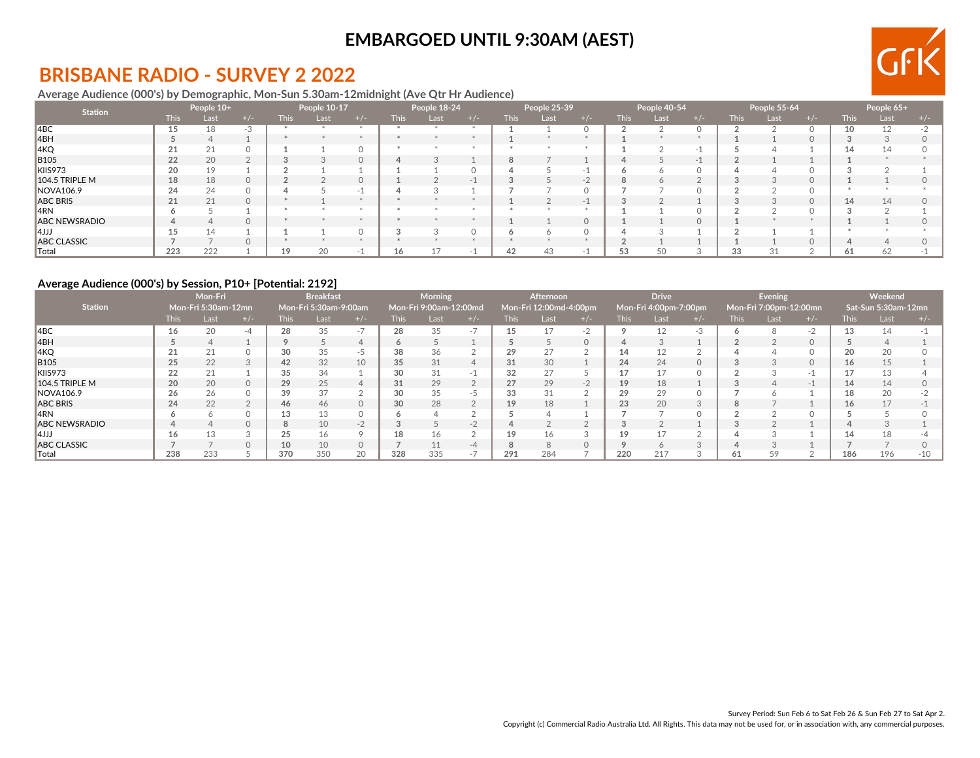

## **BRISBANE RADIO - SURVEY 2 2022**

#### **Average Audience (000's) by Demographic, Mon-Sun 5.30am-12midnight (Ave Qtr Hr Audience)**

| <b>Station</b>         |             | People 10+ |          |             | People 10-17 |       |       | People 18-24 |       |        | People 25-39 |          |             | People 40-54 |       |             | People 55-64 |          |        | People 65+ |  |
|------------------------|-------------|------------|----------|-------------|--------------|-------|-------|--------------|-------|--------|--------------|----------|-------------|--------------|-------|-------------|--------------|----------|--------|------------|--|
|                        | <b>This</b> | Last       | + / -    | <b>This</b> | Last         | $+/-$ | This. | Last         | $+/-$ | This l | Last         | $+/-$    | <b>This</b> | Last         | + / - | <b>This</b> | Last         | $+/-$    | This : | Last       |  |
| ABC                    | 15          | 18         | -3       |             |              |       |       |              |       |        |              |          |             |              |       |             |              |          |        | 12         |  |
| 4BH                    |             | 4          |          |             |              |       |       |              |       |        |              |          |             |              |       |             |              |          |        |            |  |
| 4KQ                    | 21          | 21         |          |             |              |       |       |              |       |        |              |          |             |              |       |             |              |          |        |            |  |
| <b>B</b> 105           | 22          | 20         |          |             |              |       |       |              |       | 8      |              |          |             |              | $-$   |             |              |          |        |            |  |
| KIIS973                | 20          | 19         |          |             |              |       |       |              |       |        |              |          |             |              |       |             |              |          |        |            |  |
| 104.5 TRIPLE M         | 18          | 18         | $\Omega$ |             |              |       |       |              | $-1$  |        |              | $-1$     | õ           |              |       |             |              |          |        |            |  |
| NOVA106.9              | 24          | 24         |          |             |              |       |       |              |       |        |              |          |             |              |       |             |              |          |        |            |  |
| ABC BRIS               | 21          | 21         |          |             |              |       |       |              |       |        |              | $-1$     |             |              |       |             |              | $\Omega$ | 14     | 14         |  |
| 4RN                    |             |            |          |             |              |       |       |              |       |        |              |          |             |              |       |             |              |          |        |            |  |
| <b>ABC NEWSRADIO</b>   |             | 4          |          |             |              |       |       |              |       |        |              | $\Omega$ |             |              |       |             |              |          |        |            |  |
| 4JJ                    | 15          | 14         |          |             |              |       |       |              |       |        |              |          |             |              |       |             |              |          |        |            |  |
| <b>ABC CLASSIC</b>     |             |            |          |             |              |       |       |              |       |        |              |          |             |              |       |             |              |          |        |            |  |
| $\  \mathsf{Total} \ $ | 223         | 222        |          | 19          | 20           |       | 16    |              |       | 42     | 43           |          | 53          | 50           |       | 33          |              |          | oт     | 62         |  |

#### **Average Audience (000's) by Session, P10+ [Potential: 2192]**

|                       |             | Mon-Fri             |       |             | <b>Breakfast</b>      |    |             | <b>Morning</b>         |                       |             | <b>Afternoon</b>       |      |             | <b>Drive</b>          |    |             | <b>Evening</b>         |       |                 | Weekend             |       |
|-----------------------|-------------|---------------------|-------|-------------|-----------------------|----|-------------|------------------------|-----------------------|-------------|------------------------|------|-------------|-----------------------|----|-------------|------------------------|-------|-----------------|---------------------|-------|
| <b>Station</b>        |             | Mon-Fri 5:30am-12mn |       |             | Mon-Fri 5:30am-9:00am |    |             | Mon-Fri 9:00am-12:00md |                       |             | Mon-Fri 12:00md-4:00pm |      |             | Mon-Fri 4:00pm-7:00pm |    |             | Mon-Fri 7:00pm-12:00mn |       |                 | Sat-Sun 5:30am-12mn |       |
|                       | <b>This</b> | Last                | $+/-$ | <b>This</b> | Last                  |    | <b>This</b> | Last                   | $+/-$                 | <b>This</b> | Last                   | +7-  | <b>This</b> | Last                  |    | <b>This</b> | Last                   | + / - | <b>This</b>     | Last                |       |
| 14BC                  | 16          | 20                  |       | 28          | 35                    |    | 28          | 35                     | $\rightarrow$<br>$-1$ | 15          | 17                     | $-2$ |             |                       | -3 |             |                        | $-2$  | 13              |                     |       |
| 4BH                   |             |                     |       |             |                       |    | 6           |                        |                       |             |                        |      |             |                       |    |             |                        |       |                 |                     |       |
| 4KQ                   | 21          | 21                  |       | 30          | 35                    | -5 | 38          |                        |                       | 29          | 27                     |      | 14          |                       |    |             |                        |       | 20              | 20                  |       |
| <b>B105</b>           | 25          | 22                  |       | 42          | 32                    | 10 | 35          | 31                     |                       | 31          | 30                     |      | 24          | 24                    |    |             |                        |       | 16              |                     |       |
| KIIS973               | 22          | 21                  |       | 35          | 34                    |    | 30          | 31                     | -1                    | 32          | 27                     |      | 17          |                       |    |             |                        |       |                 |                     |       |
| <b>104.5 TRIPLE M</b> | 20          | 20                  |       | 29          | 25                    |    | 31          | 29                     | $\Omega$              | 27          | 29                     | $-2$ | 19          | 18                    |    |             |                        |       | 14              | 14                  |       |
| NOVA106.9             | 26          | 26                  |       | 39          | 37                    |    | 30          | 35                     | -5                    | 33          | 31                     |      | 29          | 29                    |    |             |                        |       | 18              | 20                  |       |
| <b>ABC BRIS</b>       | 24          | 22                  |       | 46          | 46                    |    | 30          | 28                     | $\overline{2}$        | 19          | 18                     |      | 23          | 20                    |    |             |                        |       | 16 <sup>1</sup> | 17                  |       |
| ∥4RN                  |             | <sup>n</sup>        |       | 13          | 13                    |    |             |                        |                       |             |                        |      |             |                       |    |             |                        |       |                 |                     |       |
| <b>ABC NEWSRADIO</b>  | 4           |                     |       | 8           | 10                    |    |             |                        | $-2$                  |             |                        |      |             |                       |    |             |                        |       |                 |                     |       |
| 14JJJ                 | 16          | 13                  |       | 25          | 16                    |    | 18          |                        |                       | 19          | 16                     |      | 19          |                       |    |             |                        |       | 14              |                     |       |
| <b>ABC CLASSIC</b>    |             |                     |       | 10          | 10                    |    |             |                        | $-4$                  |             | 8                      |      |             |                       |    |             |                        |       |                 |                     |       |
| $\  \text{Total}$     | 238         | 233                 |       | 370         | 350                   | 20 | 328         | 335                    | $-1$                  | 291         | 284                    |      | 220         | 217                   |    | 61          |                        |       | 186             | 196                 | $-10$ |